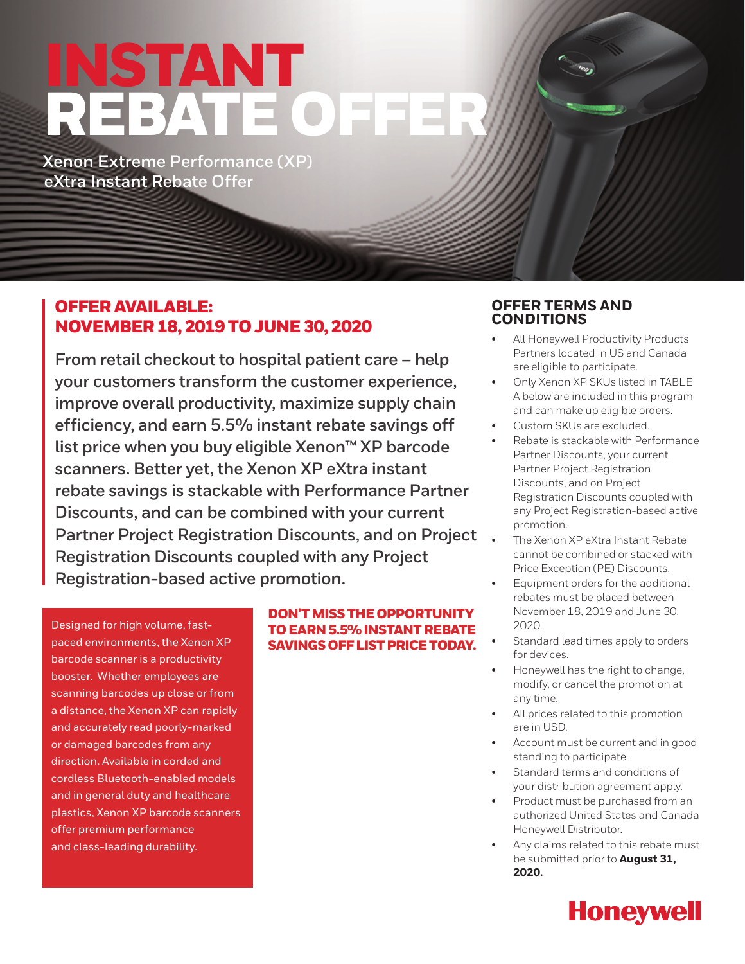# INSTANT REBATE OFFER

**Xenon Extreme Performance (XP) eXtra Instant Rebate Offer**

## OFFER AVAILABLE: NOVEMBER 18, 2019 TO JUNE 30, 2020

**From retail checkout to hospital patient care – help your customers transform the customer experience, improve overall productivity, maximize supply chain efficiency, and earn 5.5% instant rebate savings off list price when you buy eligible Xenon™ XP barcode scanners. Better yet, the Xenon XP eXtra instant rebate savings is stackable with Performance Partner Discounts, and can be combined with your current Partner Project Registration Discounts, and on Project Registration Discounts coupled with any Project Registration-based active promotion.**

Designed for high volume, fastpaced environments, the Xenon XP barcode scanner is a productivity booster. Whether employees are scanning barcodes up close or from a distance, the Xenon XP can rapidly and accurately read poorly-marked or damaged barcodes from any direction. Available in corded and cordless Bluetooth-enabled models and in general duty and healthcare plastics, Xenon XP barcode scanners offer premium performance and class-leading durability.

## DON'T MISS THE OPPORTUNITY TO EARN 5.5% INSTANT REBATE SAVINGS OFF LIST PRICE TODAY.

## **OFFER TERMS AND CONDITIONS**

- All Honeywell Productivity Products Partners located in US and Canada are eligible to participate.
- Only Xenon XP SKUs listed in TABLE A below are included in this program and can make up eligible orders.
- Custom SKUs are excluded.
- Rebate is stackable with Performance Partner Discounts, your current Partner Project Registration Discounts, and on Project Registration Discounts coupled with any Project Registration-based active promotion.
- The Xenon XP eXtra Instant Rebate cannot be combined or stacked with Price Exception (PE) Discounts.
- Equipment orders for the additional rebates must be placed between November 18, 2019 and June 30, 2020.
- Standard lead times apply to orders for devices.
- Honeywell has the right to change, modify, or cancel the promotion at any time.
- All prices related to this promotion are in USD.
- Account must be current and in good standing to participate.
- Standard terms and conditions of your distribution agreement apply.
- Product must be purchased from an authorized United States and Canada Honeywell Distributor.
- Any claims related to this rebate must be submitted prior to **August 31, 2020.**

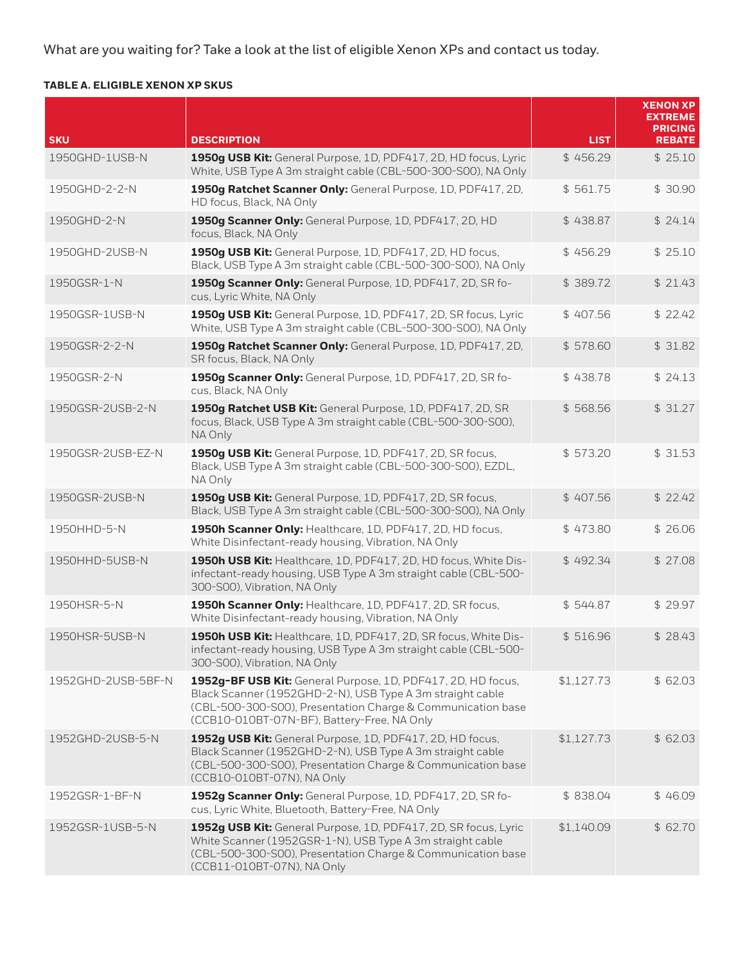What are you waiting for? Take a look at the list of eligible Xenon XPs and contact us today.

## **TABLE A. ELIGIBLE XENON XP SKUS**

|                    |                                                                                                                                                                                                                                         |             | <b>XENON XP</b><br><b>EXTREME</b><br><b>PRICING</b> |
|--------------------|-----------------------------------------------------------------------------------------------------------------------------------------------------------------------------------------------------------------------------------------|-------------|-----------------------------------------------------|
| <b>SKU</b>         | <b>DESCRIPTION</b>                                                                                                                                                                                                                      | <b>LIST</b> | <b>REBATE</b>                                       |
| 1950GHD-1USB-N     | 1950g USB Kit: General Purpose, 1D, PDF417, 2D, HD focus, Lyric<br>White, USB Type A 3m straight cable (CBL-500-300-S00), NA Only                                                                                                       | \$456.29    | \$25.10                                             |
| 1950GHD-2-2-N      | 1950g Ratchet Scanner Only: General Purpose, 1D, PDF417, 2D,<br>HD focus, Black, NA Only                                                                                                                                                | \$561.75    | \$30.90                                             |
| 1950GHD-2-N        | 1950g Scanner Only: General Purpose, 1D, PDF417, 2D, HD<br>focus, Black, NA Only                                                                                                                                                        | \$438.87    | \$24.14                                             |
| 1950GHD-2USB-N     | 1950g USB Kit: General Purpose, 1D, PDF417, 2D, HD focus,<br>Black, USB Type A 3m straight cable (CBL-500-300-S00), NA Only                                                                                                             | \$456.29    | \$25.10                                             |
| 1950GSR-1-N        | 1950g Scanner Only: General Purpose, 1D, PDF417, 2D, SR fo-<br>cus, Lyric White, NA Only                                                                                                                                                | \$389.72    | \$21.43                                             |
| 1950GSR-1USB-N     | 1950g USB Kit: General Purpose, 1D, PDF417, 2D, SR focus, Lyric<br>White, USB Type A 3m straight cable (CBL-500-300-S00), NA Only                                                                                                       | \$407.56    | \$22.42                                             |
| 1950GSR-2-2-N      | 1950g Ratchet Scanner Only: General Purpose, 1D, PDF417, 2D,<br>SR focus, Black, NA Only                                                                                                                                                | \$578.60    | \$31.82                                             |
| 1950GSR-2-N        | 1950g Scanner Only: General Purpose, 1D, PDF417, 2D, SR fo-<br>cus, Black, NA Only                                                                                                                                                      | \$438.78    | \$24.13                                             |
| 1950GSR-2USB-2-N   | 1950g Ratchet USB Kit: General Purpose, 1D, PDF417, 2D, SR<br>focus, Black, USB Type A 3m straight cable (CBL-500-300-S00),<br>NA Only                                                                                                  | \$568.56    | \$31.27                                             |
| 1950GSR-2USB-EZ-N  | 1950g USB Kit: General Purpose, 1D, PDF417, 2D, SR focus,<br>Black, USB Type A 3m straight cable (CBL-500-300-S00), EZDL,<br>NA Only                                                                                                    | \$573.20    | \$31.53                                             |
| 1950GSR-2USB-N     | 1950g USB Kit: General Purpose, 1D, PDF417, 2D, SR focus,<br>Black, USB Type A 3m straight cable (CBL-500-300-S00), NA Only                                                                                                             | \$407.56    | \$22.42                                             |
| 1950HHD-5-N        | 1950h Scanner Only: Healthcare, 1D, PDF417, 2D, HD focus,<br>White Disinfectant-ready housing, Vibration, NA Only                                                                                                                       | \$473.80    | \$26.06                                             |
| 1950HHD-5USB-N     | 1950h USB Kit: Healthcare, 1D, PDF417, 2D, HD focus, White Dis-<br>infectant-ready housing, USB Type A 3m straight cable (CBL-500-<br>300-S00), Vibration, NA Only                                                                      | \$492.34    | \$27.08                                             |
| 1950HSR-5-N        | 1950h Scanner Only: Healthcare, 1D, PDF417, 2D, SR focus,<br>White Disinfectant-ready housing, Vibration, NA Only                                                                                                                       | \$544.87    | \$29.97                                             |
| 1950HSR-5USB-N     | 1950h USB Kit: Healthcare, 1D, PDF417, 2D, SR focus, White Dis-<br>infectant-ready housing, USB Type A 3m straight cable (CBL-500-<br>300-S00), Vibration, NA Only                                                                      | \$516.96    | \$28.43                                             |
| 1952GHD-2USB-5BF-N | 1952g-BF USB Kit: General Purpose, 1D, PDF417, 2D, HD focus,<br>Black Scanner (1952GHD-2-N), USB Type A 3m straight cable<br>(CBL-500-300-S00), Presentation Charge & Communication base<br>(CCB10-010BT-07N-BF), Battery-Free, NA Only | \$1,127.73  | \$62.03                                             |
| 1952GHD-2USB-5-N   | 1952g USB Kit: General Purpose, 1D, PDF417, 2D, HD focus,<br>Black Scanner (1952GHD-2-N), USB Type A 3m straight cable<br>(CBL-500-300-S00), Presentation Charge & Communication base<br>(CCB10-010BT-07N), NA Only                     | \$1,127.73  | \$62.03                                             |
| 1952GSR-1-BF-N     | 1952g Scanner Only: General Purpose, 1D, PDF417, 2D, SR fo-<br>cus, Lyric White, Bluetooth, Battery-Free, NA Only                                                                                                                       | \$838.04    | \$46.09                                             |
| 1952GSR-1USB-5-N   | 1952g USB Kit: General Purpose, 1D, PDF417, 2D, SR focus, Lyric<br>White Scanner (1952GSR-1-N), USB Type A 3m straight cable<br>(CBL-500-300-S00), Presentation Charge & Communication base<br>(CCB11-010BT-07N), NA Only               | \$1,140.09  | \$62.70                                             |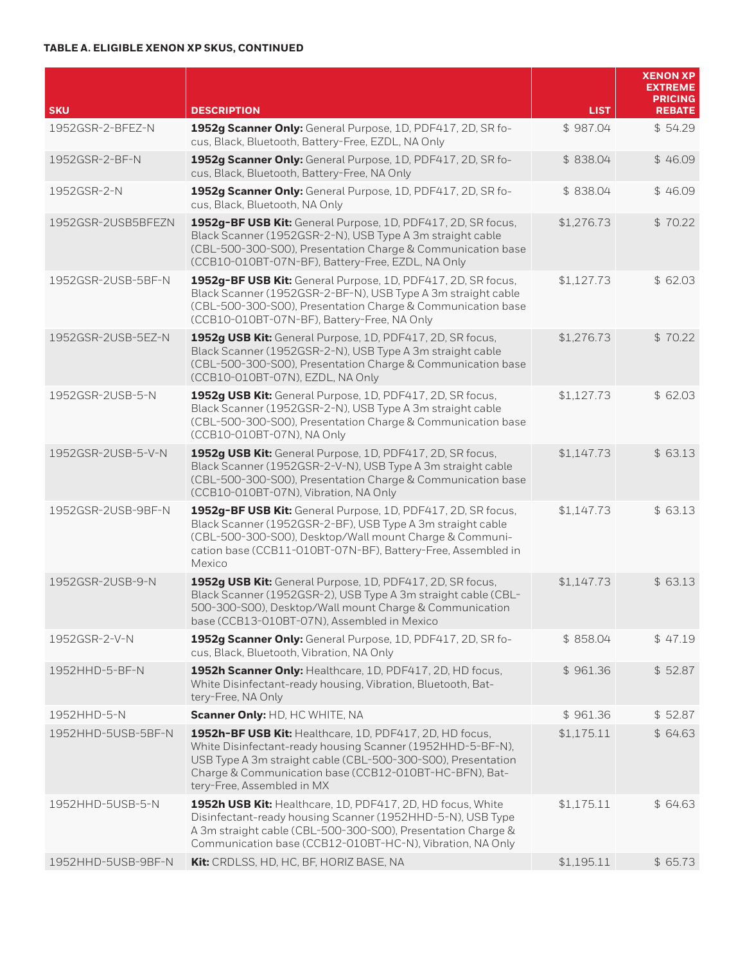### **TABLE A. ELIGIBLE XENON XP SKUS, CONTINUED**

|                    |                                                                                                                                                                                                                                                                               |             | <b>XENON XP</b><br><b>EXTREME</b><br><b>PRICING</b> |
|--------------------|-------------------------------------------------------------------------------------------------------------------------------------------------------------------------------------------------------------------------------------------------------------------------------|-------------|-----------------------------------------------------|
| <b>SKU</b>         | <b>DESCRIPTION</b>                                                                                                                                                                                                                                                            | <b>LIST</b> | <b>REBATE</b>                                       |
| 1952GSR-2-BFEZ-N   | 1952g Scanner Only: General Purpose, 1D, PDF417, 2D, SR fo-<br>cus, Black, Bluetooth, Battery-Free, EZDL, NA Only                                                                                                                                                             | \$987.04    | \$54.29                                             |
| 1952GSR-2-BF-N     | 1952g Scanner Only: General Purpose, 1D, PDF417, 2D, SR fo-<br>cus, Black, Bluetooth, Battery-Free, NA Only                                                                                                                                                                   | \$838.04    | \$46.09                                             |
| 1952GSR-2-N        | 1952g Scanner Only: General Purpose, 1D, PDF417, 2D, SR fo-<br>cus, Black, Bluetooth, NA Only                                                                                                                                                                                 | \$838.04    | \$46.09                                             |
| 1952GSR-2USB5BFEZN | 1952g-BF USB Kit: General Purpose, 1D, PDF417, 2D, SR focus,<br>Black Scanner (1952GSR-2-N), USB Type A 3m straight cable<br>(CBL-500-300-S00), Presentation Charge & Communication base<br>(CCB10-010BT-07N-BF), Battery-Free, EZDL, NA Only                                 | \$1,276.73  | \$70.22                                             |
| 1952GSR-2USB-5BF-N | 1952g-BF USB Kit: General Purpose, 1D, PDF417, 2D, SR focus,<br>Black Scanner (1952GSR-2-BF-N), USB Type A 3m straight cable<br>(CBL-500-300-S00), Presentation Charge & Communication base<br>(CCB10-010BT-07N-BF), Battery-Free, NA Only                                    | \$1,127.73  | \$62.03                                             |
| 1952GSR-2USB-5EZ-N | 1952g USB Kit: General Purpose, 1D, PDF417, 2D, SR focus,<br>Black Scanner (1952GSR-2-N), USB Type A 3m straight cable<br>(CBL-500-300-S00), Presentation Charge & Communication base<br>(CCB10-010BT-07N), EZDL, NA Only                                                     | \$1,276.73  | \$70.22                                             |
| 1952GSR-2USB-5-N   | 1952g USB Kit: General Purpose, 1D, PDF417, 2D, SR focus,<br>Black Scanner (1952GSR-2-N), USB Type A 3m straight cable<br>(CBL-500-300-S00), Presentation Charge & Communication base<br>(CCB10-010BT-07N), NA Only                                                           | \$1,127.73  | \$62.03                                             |
| 1952GSR-2USB-5-V-N | 1952g USB Kit: General Purpose, 1D, PDF417, 2D, SR focus,<br>Black Scanner (1952GSR-2-V-N), USB Type A 3m straight cable<br>(CBL-500-300-S00), Presentation Charge & Communication base<br>(CCB10-010BT-07N), Vibration, NA Only                                              | \$1,147.73  | \$63.13                                             |
| 1952GSR-2USB-9BF-N | 1952g-BF USB Kit: General Purpose, 1D, PDF417, 2D, SR focus,<br>Black Scanner (1952GSR-2-BF), USB Type A 3m straight cable<br>(CBL-500-300-S00), Desktop/Wall mount Charge & Communi-<br>cation base (CCB11-010BT-07N-BF), Battery-Free, Assembled in<br>Mexico               | \$1,147.73  | \$63.13                                             |
| 1952GSR-2USB-9-N   | 1952g USB Kit: General Purpose, 1D, PDF417, 2D, SR focus,<br>Black Scanner (1952GSR-2), USB Type A 3m straight cable (CBL-<br>500-300-S00), Desktop/Wall mount Charge & Communication<br>base (CCB13-010BT-07N), Assembled in Mexico                                          | \$1,147.73  | \$63.13                                             |
| 1952GSR-2-V-N      | 1952g Scanner Only: General Purpose, 1D, PDF417, 2D, SR fo-<br>cus, Black, Bluetooth, Vibration, NA Only                                                                                                                                                                      | \$858.04    | \$47.19                                             |
| 1952HHD-5-BF-N     | 1952h Scanner Only: Healthcare, 1D, PDF417, 2D, HD focus,<br>White Disinfectant-ready housing, Vibration, Bluetooth, Bat-<br>tery-Free, NA Only                                                                                                                               | \$961.36    | \$52.87                                             |
| 1952HHD-5-N        | Scanner Only: HD, HC WHITE, NA                                                                                                                                                                                                                                                | \$961.36    | \$52.87                                             |
| 1952HHD-5USB-5BF-N | 1952h-BF USB Kit: Healthcare, 1D, PDF417, 2D, HD focus,<br>White Disinfectant-ready housing Scanner (1952HHD-5-BF-N),<br>USB Type A 3m straight cable (CBL-500-300-S00), Presentation<br>Charge & Communication base (CCB12-010BT-HC-BFN), Bat-<br>tery-Free, Assembled in MX | \$1,175.11  | \$ 64.63                                            |
| 1952HHD-5USB-5-N   | 1952h USB Kit: Healthcare, 1D, PDF417, 2D, HD focus, White<br>Disinfectant-ready housing Scanner (1952HHD-5-N), USB Type<br>A 3m straight cable (CBL-500-300-S00), Presentation Charge &<br>Communication base (CCB12-010BT-HC-N), Vibration, NA Only                         | \$1,175.11  | \$ 64.63                                            |
| 1952HHD-5USB-9BF-N | Kit: CRDLSS, HD, HC, BF, HORIZ BASE, NA                                                                                                                                                                                                                                       | \$1,195.11  | \$65.73                                             |